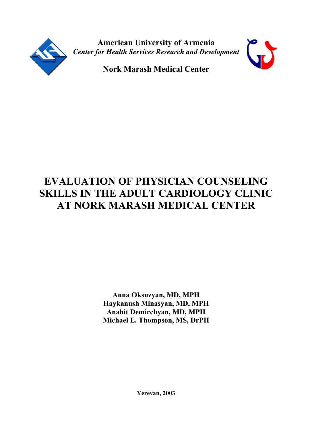

**American University of Armenia** *Center for Health Services Research and Development*



**Nork Marash Medical Center**

# **EVALUATION OF PHYSICIAN COUNSELING SKILLS IN THE ADULT CARDIOLOGY CLINIC AT NORK MARASH MEDICAL CENTER**

**Anna Oksuzyan, MD, MPH Haykanush Minasyan, MD, MPH Anahit Demirchyan, MD, MPH Michael E. Thompson, MS, DrPH**

**Yerevan, 2003**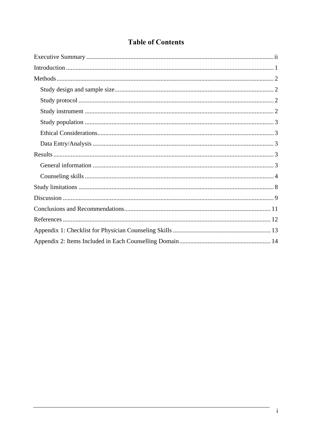# **Table of Contents**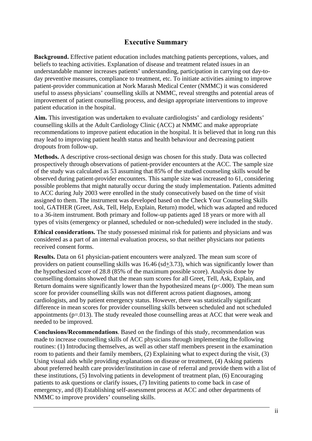## **Executive Summary**

**Background.** Effective patient education includes matching patients perceptions, values, and beliefs to teaching activities. Explanation of disease and treatment related issues in an understandable manner increases patients' understanding, participation in carrying out day-today preventive measures, compliance to treatment, etc. To initiate activities aiming to improve patient-provider communication at Nork Marash Medical Center (NMMC) it was considered useful to assess physicians' counselling skills at NMMC, reveal strengths and potential areas of improvement of patient counselling process, and design appropriate interventions to improve patient education in the hospital.

**Aim.** This investigation was undertaken to evaluate cardiologists' and cardiology residents' counselling skills at the Adult Cardiology Clinic (ACC) at NMMC and make appropriate recommendations to improve patient education in the hospital. It is believed that in long run this may lead to improving patient health status and health behaviour and decreasing patient dropouts from follow-up.

**Methods.** A descriptive cross-sectional design was chosen for this study. Data was collected prospectively through observations of patient-provider encounters at the ACC. The sample size of the study was calculated as 53 assuming that 85% of the studied counseling skills would be observed during patient-provider encounters. This sample size was increased to 61, considering possible problems that might naturally occur during the study implementation. Patients admitted to ACC during July 2003 were enrolled in the study consecutively based on the time of visit assigned to them. The instrument was developed based on the Check Your Counseling Skills tool, GATHER (Greet, Ask, Tell, Help, Explain, Return) model, which was adapted and reduced to a 36-item instrument. Both primary and follow-up patients aged 18 years or more with all types of visits (emergency or planned, scheduled or non-scheduled) were included in the study.

**Ethical considerations.** The study possessed minimal risk for patients and physicians and was considered as a part of an internal evaluation process, so that neither physicians nor patients received consent forms.

**Results.** Data on 61 physician-patient encounters were analyzed. The mean sum score of providers on patient counselling skills was 16.46 (sd+3.73), which was significantly lower than the hypothesized score of 28.8 (85% of the maximum possible score). Analysis done by counselling domains showed that the mean sum scores for all Greet, Tell, Ask, Explain, and Return domains were significantly lower than the hypothesized means (p<.000). The mean sum score for provider counselling skills was not different across patient diagnoses, among cardiologists, and by patient emergency status. However, there was statistically significant difference in mean scores for provider counselling skills between scheduled and not scheduled appointments  $(p=.013)$ . The study revealed those counselling areas at ACC that were weak and needed to be improved.

**Conclusions/Recommendations**. Based on the findings of this study, recommendation was made to increase counselling skills of ACC physicians through implementing the following routines: (1) Introducing themselves, as well as other staff members present in the examination room to patients and their family members, (2) Explaining what to expect during the visit, (3) Using visual aids while providing explanations on disease or treatment, (4) Asking patients about preferred health care provider/institution in case of referral and provide them with a list of these institutions, (5) Involving patients in development of treatment plan, (6) Encouraging patients to ask questions or clarify issues, (7) Inviting patients to come back in case of emergency, and (8) Establishing self-assessment process at ACC and other departments of NMMC to improve providers' counseling skills.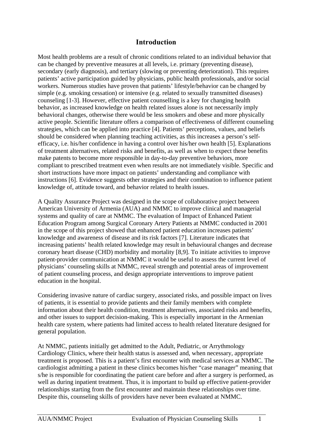## **Introduction**

Most health problems are a result of chronic conditions related to an individual behavior that can be changed by preventive measures at all levels, i.e. primary (preventing disease), secondary (early diagnosis), and tertiary (slowing or preventing deterioration). This requires patients' active participation guided by physicians, public health professionals, and/or social workers. Numerous studies have proven that patients' lifestyle/behavior can be changed by simple (e.g. smoking cessation) or intensive (e.g. related to sexually transmitted diseases) counseling [1-3]. However, effective patient counselling is a key for changing health behavior, as increased knowledge on health related issues alone is not necessarily imply behavioral changes, otherwise there would be less smokers and obese and more physically active people. Scientific literature offers a comparison of effectiveness of different counseling strategies, which can be applied into practice [4]. Patients' perceptions, values, and beliefs should be considered when planning teaching activities, as this increases a person's selfefficacy, i.e. his/her confidence in having a control over his/her own health [5]. Explanations of treatment alternatives, related risks and benefits, as well as when to expect these benefits make patents to become more responsible in day-to-day preventive behaviors, more compliant to prescribed treatment even when results are not immediately visible. Specific and short instructions have more impact on patients' understanding and compliance with instructions [6]. Evidence suggests other strategies and their combination to influence patient knowledge of, attitude toward, and behavior related to health issues.

A Quality Assurance Project was designed in the scope of collaborative project between American University of Armenia (AUA) and NMMC to improve clinical and managerial systems and quality of care at NMMC. The evaluation of Impact of Enhanced Patient Education Program among Surgical Coronary Artery Patients at NMMC conducted in 2001 in the scope of this project showed that enhanced patient education increases patients' knowledge and awareness of disease and its risk factors [7]. Literature indicates that increasing patients' health related knowledge may result in behavioural changes and decrease coronary heart disease (CHD) morbidity and mortality [8,9]. To initiate activities to improve patient-provider communication at NMMC it would be useful to assess the current level of physicians' counseling skills at NMMC, reveal strength and potential areas of improvement of patient counseling process, and design appropriate interventions to improve patient education in the hospital.

Considering invasive nature of cardiac surgery, associated risks, and possible impact on lives of patients, it is essential to provide patients and their family members with complete information about their health condition, treatment alternatives, associated risks and benefits, and other issues to support decision-making. This is especially important in the Armenian health care system, where patients had limited access to health related literature designed for general population.

At NMMC, patients initially get admitted to the Adult, Pediatric, or Arrythmology Cardiology Clinics, where their health status is assessed and, when necessary, appropriate treatment is proposed. This is a patient's first encounter with medical services at NMMC. The cardiologist admitting a patient in these clinics becomes his/her "case manager" meaning that s/he is responsible for coordinating the patient care before and after a surgery is performed, as well as during inpatient treatment. Thus, it is important to build up effective patient-provider relationships starting from the first encounter and maintain these relationships over time. Despite this, counseling skills of providers have never been evaluated at NMMC.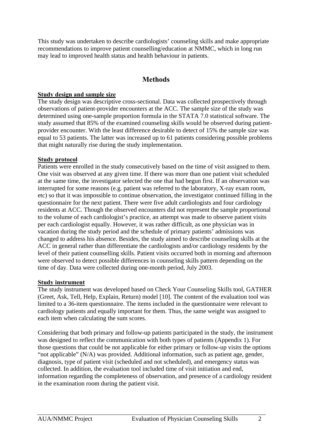This study was undertaken to describe cardiologists' counseling skills and make appropriate recommendations to improve patient counselling/education at NMMC, which in long run may lead to improved health status and health behaviour in patients.

# **Methods**

#### **Study design and sample size**

The study design was descriptive cross-sectional. Data was collected prospectively through observations of patient-provider encounters at the ACC. The sample size of the study was determined using one-sample proportion formula in the STATA 7.0 statistical software. The study assumed that 85% of the examined counseling skills would be observed during patientprovider encounter. With the least difference desirable to detect of 15% the sample size was equal to 53 patients. The latter was increased up to 61 patients considering possible problems that might naturally rise during the study implementation.

#### **Study protocol**

Patients were enrolled in the study consecutively based on the time of visit assigned to them. One visit was observed at any given time. If there was more than one patient visit scheduled at the same time, the investigator selected the one that had begun first. If an observation was interrupted for some reasons (e.g. patient was referred to the laboratory, X-ray exam room, etc) so that it was impossible to continue observation, the investigator continued filling in the questionnaire for the next patient. There were five adult cardiologists and four cardiology residents at ACC. Though the observed encounters did not represent the sample proportional to the volume of each cardiologist's practice, an attempt was made to observe patient visits per each cardiologist equally. However, it was rather difficult, as one physician was in vacation during the study period and the schedule of primary patients' admissions was changed to address his absence. Besides, the study aimed to describe counseling skills at the ACC in general rather than differentiate the cardiologists and/or cardiology residents by the level of their patient counselling skills. Patient visits occurred both in morning and afternoon were observed to detect possible differences in counseling skills pattern depending on the time of day. Data were collected during one-month period, July 2003.

#### **Study instrument**

The study instrument was developed based on Check Your Counseling Skills tool, GATHER (Greet, Ask, Tell, Help, Explain, Return) model [10]. The content of the evaluation tool was limited to a 36-item questionnaire. The items included in the questionnaire were relevant to cardiology patients and equally important for them. Thus, the same weight was assigned to each item when calculating the sum scores.

Considering that both primary and follow-up patients participated in the study, the instrument was designed to reflect the communication with both types of patients (Appendix 1). For those questions that could be not applicable for either primary or follow-up visits the options "not applicable" (N/A) was provided. Additional information, such as patient age, gender, diagnosis, type of patient visit (scheduled and not scheduled), and emergency status was collected. In addition, the evaluation tool included time of visit initiation and end, information regarding the completeness of observation, and presence of a cardiology resident in the examination room during the patient visit.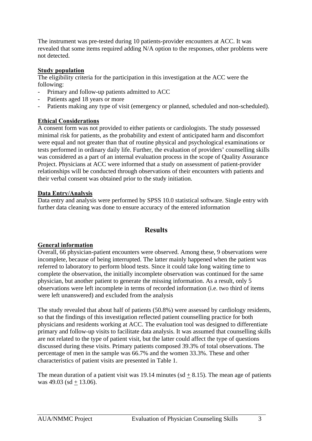The instrument was pre-tested during 10 patients-provider encounters at ACC. It was revealed that some items required adding N/A option to the responses, other problems were not detected.

## **Study population**

The eligibility criteria for the participation in this investigation at the ACC were the following:

- Primary and follow-up patients admitted to ACC
- Patients aged 18 years or more
- Patients making any type of visit (emergency or planned, scheduled and non-scheduled).

## **Ethical Considerations**

A consent form was not provided to either patients or cardiologists. The study possessed minimal risk for patients, as the probability and extent of anticipated harm and discomfort were equal and not greater than that of routine physical and psychological examinations or tests performed in ordinary daily life. Further, the evaluation of providers' counselling skills was considered as a part of an internal evaluation process in the scope of Quality Assurance Project. Physicians at ACC were informed that a study on assessment of patient-provider relationships will be conducted through observations of their encounters with patients and their verbal consent was obtained prior to the study initiation.

## **Data Entry/Analysis**

Data entry and analysis were performed by SPSS 10.0 statistical software. Single entry with further data cleaning was done to ensure accuracy of the entered information

## **Results**

#### **General information**

Overall, 66 physician-patient encounters were observed. Among these, 9 observations were incomplete, because of being interrupted. The latter mainly happened when the patient was referred to laboratory to perform blood tests. Since it could take long waiting time to complete the observation, the initially incomplete observation was continued for the same physician, but another patient to generate the missing information. As a result, only 5 observations were left incomplete in terms of recorded information (i.e. two third of items were left unanswered) and excluded from the analysis

The study revealed that about half of patients (50.8%) were assessed by cardiology residents, so that the findings of this investigation reflected patient counselling practice for both physicians and residents working at ACC. The evaluation tool was designed to differentiate primary and follow-up visits to facilitate data analysis. It was assumed that counselling skills are not related to the type of patient visit, but the latter could affect the type of questions discussed during these visits. Primary patients composed 39.3% of total observations. The percentage of men in the sample was 66.7% and the women 33.3%. These and other characteristics of patient visits are presented in Table 1.

The mean duration of a patient visit was 19.14 minutes ( $sd + 8.15$ ). The mean age of patients was  $49.03$  (sd + 13.06).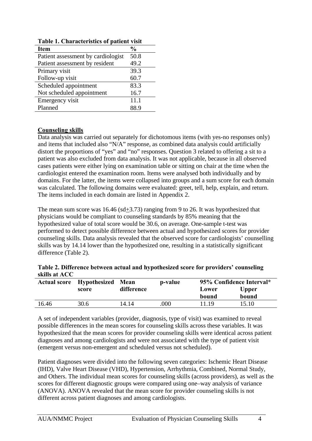| Table 1. Chai acteristics of patient visit |      |
|--------------------------------------------|------|
| <b>Item</b>                                | %    |
| Patient assessment by cardiologist         | 50.8 |
| Patient assessment by resident             | 49.2 |
| Primary visit                              | 39.3 |
| Follow-up visit                            | 60.7 |
| Scheduled appointment                      | 83.3 |
| Not scheduled appointment                  | 16.7 |
| Emergency visit                            | 11.1 |
| Planned                                    | 88.9 |

**Table 1. Characteristics of patient visit** 

## **Counseling skills**

Data analysis was carried out separately for dichotomous items (with yes-no responses only) and items that included also "N/A" response, as combined data analysis could artificially distort the proportions of "yes" and "no" responses. Question 3 related to offering a sit to a patient was also excluded from data analysis. It was not applicable, because in all observed cases patients were either lying on examination table or sitting on chair at the time when the cardiologist entered the examination room. Items were analysed both individually and by domains. For the latter, the items were collapsed into groups and a sum score for each domain was calculated. The following domains were evaluated: greet, tell, help, explain, and return. The items included in each domain are listed in Appendix 2.

The mean sum score was 16.46 (sd+3.73) ranging from 9 to 26. It was hypothesized that physicians would be compliant to counseling standards by 85% meaning that the hypothesized value of total score would be 30.6, on average. One-sample t-test was performed to detect possible difference between actual and hypothesized scores for provider counseling skills. Data analysis revealed that the observed score for cardiologists' counselling skills was by 14.14 lower than the hypothesized one, resulting in a statistically significant difference (Table 2).

|               | Table 2. Difference between actual and hypothesized score for providers' counseling |  |
|---------------|-------------------------------------------------------------------------------------|--|
| skills at ACC |                                                                                     |  |

|       |            | p-value                               |       | 95% Confidence Interval* |
|-------|------------|---------------------------------------|-------|--------------------------|
| score | difference |                                       | Lower | <b>Upper</b>             |
|       |            |                                       | bound | bound                    |
| 30.6  | 14.14      | .000                                  | 11.19 | 15.10                    |
|       |            | <b>Actual score</b> Hypothesized Mean |       |                          |

A set of independent variables (provider, diagnosis, type of visit) was examined to reveal possible differences in the mean scores for counseling skills across these variables. It was hypothesized that the mean scores for provider counseling skills were identical across patient diagnoses and among cardiologists and were not associated with the type of patient visit (emergent versus non-emergent and scheduled versus not scheduled).

Patient diagnoses were divided into the following seven categories: Ischemic Heart Disease (IHD), Valve Heart Disease (VHD), Hypertension, Arrhythmia, Combined, Normal Study, and Others. The individual mean scores for counseling skills (across providers), as well as the scores for different diagnostic groups were compared using one–way analysis of variance (ANOVA). ANOVA revealed that the mean score for provider counseling skills is not different across patient diagnoses and among cardiologists.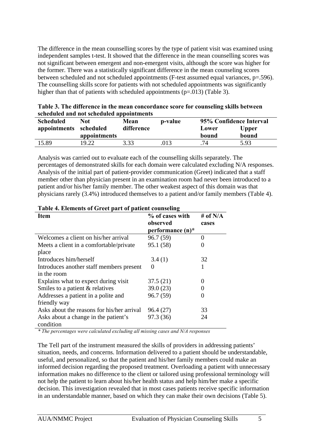The difference in the mean counselling scores by the type of patient visit was examined using independent samples t-test. It showed that the difference in the mean counselling scores was not significant between emergent and non-emergent visits, although the score was higher for the former. There was a statistically significant difference in the mean counseling scores between scheduled and not scheduled appointments (F-test assumed equal variances, p=.596). The counselling skills score for patients with not scheduled appointments was significantly higher than that of patients with scheduled appointments (p=.013) (Table 3).

|                        | scheduled and not scheduled appointments |            |         |       |                         |
|------------------------|------------------------------------------|------------|---------|-------|-------------------------|
| <b>Scheduled</b>       | Not                                      | Mean       | p-value |       | 95% Confidence Interval |
| appointments scheduled |                                          | difference |         | Lower | <b>Upper</b>            |
|                        | appointments                             |            |         | bound | bound                   |
| 15.89                  | 19.22                                    | 3.33       | .013    | .74   | 5.93                    |

| Table 3. The difference in the mean concordance score for counseling skills between |  |
|-------------------------------------------------------------------------------------|--|
| scheduled and not scheduled appointments                                            |  |

Analysis was carried out to evaluate each of the counselling skills separately. The percentages of demonstrated skills for each domain were calculated excluding N/A responses. Analysis of the initial part of patient-provider communication (Greet) indicated that a staff member other than physician present in an examination room had never been introduced to a patient and/or his/her family member. The other weakest aspect of this domain was that physicians rarely (3.4%) introduced themselves to a patient and/or family members (Table 4).

| <b>Item</b>                                | % of cases with     | # of $N/A$ |
|--------------------------------------------|---------------------|------------|
|                                            | observed            | cases      |
|                                            | performance $(n)^*$ |            |
| Welcomes a client on his/her arrival       | 96.7(59)            | 0          |
| Meets a client in a comfortable/private    | 95.1 (58)           |            |
| place                                      |                     |            |
| Introduces him/herself                     | 3.4(1)              | 32         |
| Introduces another staff members present   | $\theta$            |            |
| in the room                                |                     |            |
| Explains what to expect during visit       | 37.5(21)            |            |
| Smiles to a patient $&$ relatives          | 39.0(23)            |            |
| Addresses a patient in a polite and        | 96.7(59)            |            |
| friendly way                               |                     |            |
| Asks about the reasons for his/her arrival | 96.4(27)            | 33         |
| Asks about a change in the patient's       | 97.3 (36)           | 24         |
| condition                                  |                     |            |

| Table 4. Elements of Greet part of patient counseling |  |  |
|-------------------------------------------------------|--|--|
|                                                       |  |  |

*\* The percentages were calculated excluding all missing cases and N/A responses* 

The Tell part of the instrument measured the skills of providers in addressing patients' situation, needs, and concerns. Information delivered to a patient should be understandable, useful, and personalized, so that the patient and his/her family members could make an informed decision regarding the proposed treatment. Overloading a patient with unnecessary information makes no difference to the client or tailored using professional terminology will not help the patient to learn about his/her health status and help him/her make a specific decision. This investigation revealed that in most cases patients receive specific information in an understandable manner, based on which they can make their own decisions (Table 5).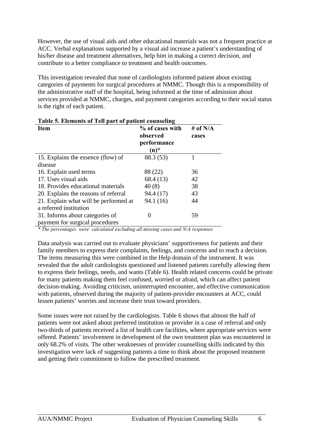However, the use of visual aids and other educational materials was not a frequent practice at ACC. Verbal explanations supported by a visual aid increase a patient's understanding of his/her disease and treatment alternatives, help him in making a correct decision, and contribute to a better compliance to treatment and health outcomes.

This investigation revealed that none of cardiologists informed patient about existing categories of payments for surgical procedures at NMMC. Though this is a responsibility of the administrative staff of the hospital, being informed at the time of admission about services provided at NMMC, charges, and payment categories according to their social status is the right of each patient.

| Table of Enchreties of Ten part of patient counseling |                 |            |  |  |
|-------------------------------------------------------|-----------------|------------|--|--|
| <b>Item</b>                                           | % of cases with | # of $N/A$ |  |  |
|                                                       | observed        | cases      |  |  |
|                                                       | performance     |            |  |  |
|                                                       | $(n)^*$         |            |  |  |
| 15. Explains the essence (flow) of                    | 88.3 (53)       |            |  |  |
| disease                                               |                 |            |  |  |
| 16. Explain used terms                                | 88 (22)         | 36         |  |  |
| 17. Uses visual aids                                  | 68.4 (13)       | 42         |  |  |
| 18. Provides educational materials                    | 40(8)           | 38         |  |  |
| 20. Explains the reasons of referral                  | 94.4 (17)       | 43         |  |  |
| 21. Explain what will be performed at                 | 94.1 (16)       | 44         |  |  |
| a referred institution                                |                 |            |  |  |
| 31. Informs about categories of                       |                 | 59         |  |  |
| payment for surgical procedures                       |                 |            |  |  |

| Table 5. Elements of Tell part of patient counseling |
|------------------------------------------------------|
|------------------------------------------------------|

*\* The percentages were calculated excluding all missing cases and N/A responses* 

Data analysis was carried out to evaluate physicians' supportiveness for patients and their family members to express their complaints, feelings, and concerns and to reach a decision. The items measuring this were combined in the Help domain of the instrument. It was revealed that the adult cardiologists questioned and listened patients carefully allowing them to express their feelings, needs, and wants (Table 6). Health related concerns could be private for many patients making them feel confused, worried or afraid, which can affect patient decision-making. Avoiding criticism, uninterrupted encounter, and effective communication with patients, observed during the majority of patient-provider encounters at ACC, could lessen patients' worries and increase their trust toward providers.

Some issues were not raised by the cardiologists. Table 6 shows that almost the half of patients were not asked about preferred institution or provider in a case of referral and only two-thirds of patients received a list of health care facilities, where appropriate services were offered. Patients' involvement in development of the own treatment plan was encountered in only 68.2% of visits. The other weaknesses of provider counselling skills indicated by this investigation were lack of suggesting patients a time to think about the proposed treatment and getting their commitment to follow the prescribed treatment.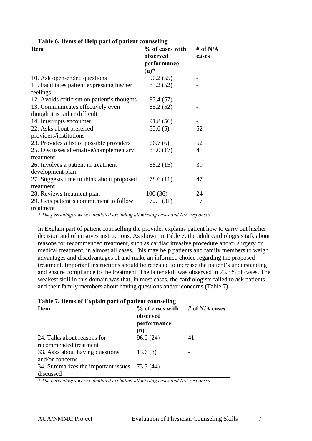| <b>Item</b>                                | % of cases with | # of $N/A$ |
|--------------------------------------------|-----------------|------------|
|                                            | observed        | cases      |
|                                            | performance     |            |
|                                            | $(n)^*$         |            |
| 10. Ask open-ended questions               | 90.2(55)        |            |
| 11. Facilitates patient expressing his/her | 85.2 (52)       |            |
| feelings                                   |                 |            |
| 12. Avoids criticism on patient's thoughts | 93.4 (57)       |            |
| 13. Communicates effectively even          | 85.2 (52)       |            |
| though it is rather difficult              |                 |            |
| 14. Interrupts encounter                   | 91.8 (56)       |            |
| 22. Asks about preferred                   | 55.6(5)         | 52         |
| providers/institutions                     |                 |            |
| 23. Provides a list of possible providers  | 66.7(6)         | 52         |
| 25. Discusses alternative/complementary    | 85.0 (17)       | 41         |
| treatment                                  |                 |            |
| 26. Involves a patient in treatment        | 68.2 (15)       | 39         |
| development plan                           |                 |            |
| 27. Suggests time to think about proposed  | 78.6 (11)       | 47         |
| treatment                                  |                 |            |
| 28. Reviews treatment plan                 | 100(36)         | 24         |
| 29. Gets patient's commitment to follow    | 72.1 (31)       | 17         |
| treatment                                  |                 |            |

#### **Table 6. Items of Help part of patient counseling**

*\* The percentages were calculated excluding all missing cases and N/A responses* 

In Explain part of patient counselling the provider explains patient how to carry out his/her decision and often gives instructions. As shown in Table 7, the adult cardiologists talk about reasons for recommended treatment, such as cardiac invasive procedure and/or surgery or medical treatment, in almost all cases. This may help patients and family members to weigh advantages and disadvantages of and make an informed choice regarding the proposed treatment. Important instructions should be repeated to increase the patient's understanding and ensure compliance to the treatment. The latter skill was observed in 73.3% of cases. The weakest skill in this domain was that, in most cases, the cardiologists failed to ask patients and their family members about having questions and/or concerns (Table 7).

#### **Table 7. Items of Explain part of patient counseling**

| Item                                                       | % of cases with<br>observed<br>performance<br>$(n)^*$ | $#$ of N/A cases |
|------------------------------------------------------------|-------------------------------------------------------|------------------|
| 24. Talks about reasons for<br>recommended treatment       | 96.0(24)                                              | 41               |
| 33. Asks about having questions<br>and/or concerns         | 13.6(8)                                               |                  |
| 34. Summarizes the important issues 73.3 (44)<br>discussed |                                                       |                  |

*\* The percentages were calculated excluding all missing cases and N/A responses*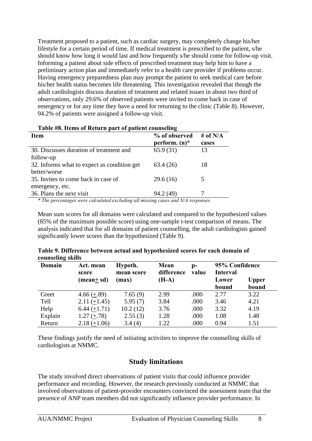Treatment proposed to a patient, such as cardiac surgery, may completely change his/her lifestyle for a certain period of time. If medical treatment is prescribed to the patient, s/he should know how long it would last and how frequently s/he should come for follow-up visit. Informing a patient about side effects of prescribed treatment may help him to have a preliminary action plan and immediately refer to a health care provider if problems occur. Having emergency preparedness plan may prompt the patient to seek medical care before his/her health status becomes life threatening. This investigation revealed that though the adult cardiologists discuss duration of treatment and related issues in about two third of observations, only 29.6% of observed patients were invited to come back in case of emergency or for any time they have a need for returning to the clinic (Table 8). However, 94.2% of patients were assigned a follow-up visit.

| Tuble not rechns or recent in put or putient counseling                                                                                                                                                                                                                                                                            |                  |            |  |  |  |  |  |
|------------------------------------------------------------------------------------------------------------------------------------------------------------------------------------------------------------------------------------------------------------------------------------------------------------------------------------|------------------|------------|--|--|--|--|--|
| Item                                                                                                                                                                                                                                                                                                                               | % of observed    | # of $N/A$ |  |  |  |  |  |
|                                                                                                                                                                                                                                                                                                                                    | perform. $(n)^*$ | cases      |  |  |  |  |  |
| 30. Discusses duration of treatment and                                                                                                                                                                                                                                                                                            | 65.9(31)         | 13         |  |  |  |  |  |
| follow-up                                                                                                                                                                                                                                                                                                                          |                  |            |  |  |  |  |  |
| 32. Informs what to expect as condition get                                                                                                                                                                                                                                                                                        | 63.4(26)         | 18         |  |  |  |  |  |
| better/worse                                                                                                                                                                                                                                                                                                                       |                  |            |  |  |  |  |  |
| 35. Invites to come back in case of                                                                                                                                                                                                                                                                                                | 29.6(16)         |            |  |  |  |  |  |
| emergency, etc.                                                                                                                                                                                                                                                                                                                    |                  |            |  |  |  |  |  |
| 36. Plans the next visit                                                                                                                                                                                                                                                                                                           | 94.2 (49)        |            |  |  |  |  |  |
| $\mathbf{1}$ $\mathbf{1}$ $\mathbf{1}$ $\mathbf{1}$ $\mathbf{1}$ $\mathbf{1}$ $\mathbf{1}$ $\mathbf{1}$ $\mathbf{1}$ $\mathbf{1}$ $\mathbf{1}$ $\mathbf{1}$ $\mathbf{1}$ $\mathbf{1}$ $\mathbf{1}$ $\mathbf{1}$ $\mathbf{1}$ $\mathbf{1}$ $\mathbf{1}$ $\mathbf{1}$ $\mathbf{1}$ $\mathbf{1}$ $\mathbf{1}$ $\mathbf{1}$ $\mathbf{$ | 1.771            |            |  |  |  |  |  |

#### **Table #8. Items of Return part of patient counseling**

*\* The percentages were calculated excluding all missing cases and N/A responses* 

Mean sum scores for all domains were calculated and compared to the hypothesized values (85% of the maximum possible score) using one-sample t-test comparison of means. The analysis indicated that for all domains of patient counselling, the adult cardiologists gained significantly lower scores than the hypothesized (Table 9).

| Table 9. Difference between actual and hypothesized scores for each domain of |  |  |  |
|-------------------------------------------------------------------------------|--|--|--|
| counseling skills                                                             |  |  |  |

| <b>Domain</b> | Act. mean<br>score | Hypoth.<br>mean score | Mean<br>difference | $\mathbf{p}$<br>value | 95% Confidence<br><b>Interval</b> |              |  |
|---------------|--------------------|-----------------------|--------------------|-----------------------|-----------------------------------|--------------|--|
|               | (mean+sd)          | (max)                 | $(H-A)$            |                       | Lower                             | <b>Upper</b> |  |
|               |                    |                       |                    |                       | bound                             | bound        |  |
| Greet         | $4.66 (+.89)$      | 7.65(9)               | 2.99               | .000                  | 2.77                              | 3.22         |  |
| Tell          | $2.11 (+1.45)$     | 5.95(7)               | 3.84               | .000                  | 3.46                              | 4.21         |  |
| Help          | $6.44 (+1.71)$     | 10.2(12)              | 3.76               | .000                  | 3.32                              | 4.19         |  |
| Explain       | $1.27 (+.78)$      | 2.55(3)               | 1.28               | .000                  | 1.08                              | 1.48         |  |
| Return        | $2.18 (+1.06)$     | 3.4(4)                | 1.22               | .000                  | 0.94                              | 1.51         |  |

These findings justify the need of initiating activities to improve the counselling skills of cardiologists at NMMC.

## **Study limitations**

The study involved direct observations of patient visits that could influence provider performance and recording. However, the research previously conducted at NMMC that involved observations of patient-provider encounters convinced the assessment team that the presence of ANP team members did not significantly influence provider performance. In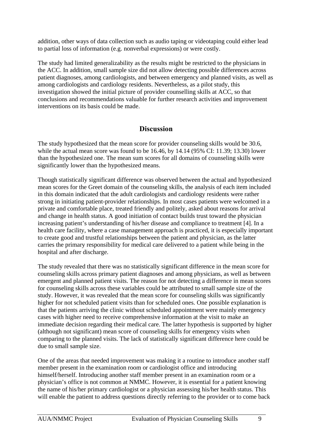addition, other ways of data collection such as audio taping or videotaping could either lead to partial loss of information (e.g. nonverbal expressions) or were costly.

The study had limited generalizability as the results might be restricted to the physicians in the ACC. In addition, small sample size did not allow detecting possible differences across patient diagnoses, among cardiologists, and between emergency and planned visits, as well as among cardiologists and cardiology residents. Nevertheless, as a pilot study, this investigation showed the initial picture of provider counselling skills at ACC, so that conclusions and recommendations valuable for further research activities and improvement interventions on its basis could be made.

# **Discussion**

The study hypothesized that the mean score for provider counseling skills would be 30.6, while the actual mean score was found to be 16.46, by 14.14 (95% CI: 11.39; 13.30) lower than the hypothesized one. The mean sum scores for all domains of counseling skills were significantly lower than the hypothesized means.

Though statistically significant difference was observed between the actual and hypothesized mean scores for the Greet domain of the counseling skills, the analysis of each item included in this domain indicated that the adult cardiologists and cardiology residents were rather strong in initiating patient-provider relationships. In most cases patients were welcomed in a private and comfortable place, treated friendly and politely, asked about reasons for arrival and change in health status. A good initiation of contact builds trust toward the physician increasing patient's understanding of his/her disease and compliance to treatment [4]. In a health care facility, where a case management approach is practiced, it is especially important to create good and trustful relationships between the patient and physician, as the latter carries the primary responsibility for medical care delivered to a patient while being in the hospital and after discharge.

The study revealed that there was no statistically significant difference in the mean score for counseling skills across primary patient diagnoses and among physicians, as well as between emergent and planned patient visits. The reason for not detecting a difference in mean scores for counseling skills across these variables could be attributed to small sample size of the study. However, it was revealed that the mean score for counseling skills was significantly higher for not scheduled patient visits than for scheduled ones. One possible explanation is that the patients arriving the clinic without scheduled appointment were mainly emergency cases with higher need to receive comprehensive information at the visit to make an immediate decision regarding their medical care. The latter hypothesis is supported by higher (although not significant) mean score of counseling skills for emergency visits when comparing to the planned visits. The lack of statistically significant difference here could be due to small sample size.

One of the areas that needed improvement was making it a routine to introduce another staff member present in the examination room or cardiologist office and introducing himself/herself. Introducing another staff member present in an examination room or a physician's office is not common at NMMC. However, it is essential for a patient knowing the name of his/her primary cardiologist or a physician assessing his/her health status. This will enable the patient to address questions directly referring to the provider or to come back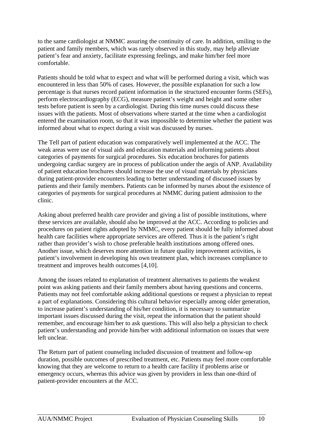to the same cardiologist at NMMC assuring the continuity of care. In addition, smiling to the patient and family members, which was rarely observed in this study, may help alleviate patient's fear and anxiety, facilitate expressing feelings, and make him/her feel more comfortable.

Patients should be told what to expect and what will be performed during a visit, which was encountered in less than 50% of cases. However, the possible explanation for such a low percentage is that nurses record patient information in the structured encounter forms (SEFs), perform electrocardiography (ECG), measure patient's weight and height and some other tests before patient is seen by a cardiologist. During this time nurses could discuss these issues with the patients. Most of observations where started at the time when a cardiologist entered the examination room, so that it was impossible to determine whether the patient was informed about what to expect during a visit was discussed by nurses.

The Tell part of patient education was comparatively well implemented at the ACC. The weak areas were use of visual aids and education materials and informing patients about categories of payments for surgical procedures. Six education brochures for patients undergoing cardiac surgery are in process of publication under the aegis of ANP. Availability of patient education brochures should increase the use of visual materials by physicians during patient-provider encounters leading to better understanding of discussed issues by patients and their family members. Patients can be informed by nurses about the existence of categories of payments for surgical procedures at NMMC during patient admission to the clinic.

Asking about preferred health care provider and giving a list of possible institutions, where these services are available, should also be improved at the ACC. According to policies and procedures on patient rights adopted by NMMC, every patient should be fully informed about health care facilities where appropriate services are offered. Thus it is the patient's right rather than provider's wish to chose preferable health institutions among offered ones. Another issue, which deserves more attention in future quality improvement activities, is patient's involvement in developing his own treatment plan, which increases compliance to treatment and improves health outcomes [4,10].

Among the issues related to explanation of treatment alternatives to patients the weakest point was asking patients and their family members about having questions and concerns. Patients may not feel comfortable asking additional questions or request a physician to repeat a part of explanations. Considering this cultural behavior especially among older generation, to increase patient's understanding of his/her condition, it is necessary to summarize important issues discussed during the visit, repeat the information that the patient should remember, and encourage him/her to ask questions. This will also help a physician to check patient's understanding and provide him/her with additional information on issues that were left unclear.

The Return part of patient counseling included discussion of treatment and follow-up duration, possible outcomes of prescribed treatment, etc. Patients may feel more comfortable knowing that they are welcome to return to a health care facility if problems arise or emergency occurs, whereas this advice was given by providers in less than one-third of patient-provider encounters at the ACC.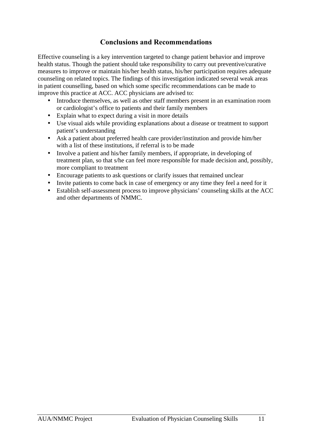# **Conclusions and Recommendations**

Effective counseling is a key intervention targeted to change patient behavior and improve health status. Though the patient should take responsibility to carry out preventive/curative measures to improve or maintain his/her health status, his/her participation requires adequate counseling on related topics. The findings of this investigation indicated several weak areas in patient counselling, based on which some specific recommendations can be made to improve this practice at ACC. ACC physicians are advised to:

- Introduce themselves, as well as other staff members present in an examination room or cardiologist's office to patients and their family members
- Explain what to expect during a visit in more details
- Use visual aids while providing explanations about a disease or treatment to support patient's understanding
- Ask a patient about preferred health care provider/institution and provide him/her with a list of these institutions, if referral is to be made
- Involve a patient and his/her family members, if appropriate, in developing of treatment plan, so that s/he can feel more responsible for made decision and, possibly, more compliant to treatment
- Encourage patients to ask questions or clarify issues that remained unclear
- Invite patients to come back in case of emergency or any time they feel a need for it
- Establish self-assessment process to improve physicians' counseling skills at the ACC and other departments of NMMC.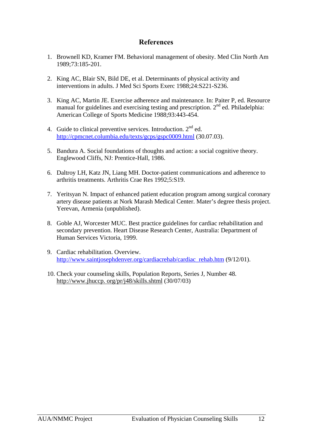## **References**

- 1. Brownell KD, Kramer FM. Behavioral management of obesity. Med Clin North Am 1989;73:185-201.
- 2. King AC, Blair SN, Bild DE, et al. Determinants of physical activity and interventions in adults. J Med Sci Sports Exerc 1988;24:S221-S236.
- 3. King AC, Martin JE. Exercise adherence and maintenance. In: Paiter P, ed. Resource manual for guidelines and exercising testing and prescription.  $2<sup>nd</sup>$  ed. Philadelphia: American College of Sports Medicine 1988;93:443-454.
- 4. Guide to clinical preventive services. Introduction.  $2<sup>nd</sup>$  ed. http://cpmcnet.columbia.edu/texts/gcps/gspc0009.html (30.07.03).
- 5. Bandura A. Social foundations of thoughts and action: a social cognitive theory. Englewood Cliffs, NJ: Prentice-Hall, 1986.
- 6. Daltroy LH, Katz JN, Liang MH. Doctor-patient communications and adherence to arthritis treatments. Arthritis Crae Res 1992;5:S19.
- 7. Yeritsyan N. Impact of enhanced patient education program among surgical coronary artery disease patients at Nork Marash Medical Center. Mater's degree thesis project. Yerevan, Armenia (unpublished).
- 8. Goble AJ, Worcester MUC. Best practice guidelines for cardiac rehabilitation and secondary prevention. Heart Disease Research Center, Australia: Department of Human Services Victoria, 1999.
- 9. Cardiac rehabilitation. Overview. http://www.saintjosephdenver.org/cardiacrehab/cardiac\_rehab.htm (9/12/01).
- 10. Check your counseling skills, Population Reports, Series J, Number 48. http://www.jhuccp. org/pr/j48/skills.shtml (30/07/03)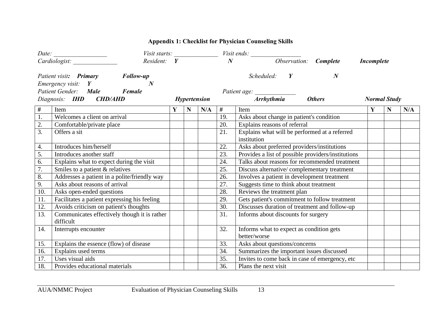# **Appendix 1: Checklist for Physician Counseling Skills**

|                  | Date:                                                                                                                                                       |                |             |     |                       |                                                                                                                                              |                |   |     |
|------------------|-------------------------------------------------------------------------------------------------------------------------------------------------------------|----------------|-------------|-----|-----------------------|----------------------------------------------------------------------------------------------------------------------------------------------|----------------|---|-----|
|                  | Cardiologist:                                                                                                                                               |                |             |     |                       | Visit starts:<br>$\frac{V\text{isit starts:}}{V \cdot N}$ Visit ends: $\frac{V\text{isit ends:}}{V \cdot N}$ Observation: $\bullet$ Complete | • Incomplete   |   |     |
|                  | <i>Patient visit:</i> • <i>Primary</i> • <i>Follow-up</i><br>Emergency visit: $\bullet$ Y<br>Patient Gender: $\bullet$ Male $\bullet$ Female<br>$\bullet N$ |                |             |     |                       | Scheduled: $\bullet Y$<br>$\bullet N$                                                                                                        |                |   |     |
|                  |                                                                                                                                                             |                |             |     |                       | Patient age: ________                                                                                                                        |                |   |     |
|                  | Diagnosis: • IHD • CHD/AHD                                                                                                                                  | • Hypertension |             |     | • Arrhythmia • Others |                                                                                                                                              | • Normal Study |   |     |
| #                | Item                                                                                                                                                        | Y              | $\mathbf N$ | N/A | #                     | Item                                                                                                                                         | Y              | N | N/A |
| 1.               | Welcomes a client on arrival                                                                                                                                |                |             |     | 19.                   | Asks about change in patient's condition                                                                                                     |                |   |     |
| 2.               | Comfortable/private place                                                                                                                                   |                |             |     | 20.                   | Explains reasons of referral                                                                                                                 |                |   |     |
| $\overline{3}$ . | Offers a sit                                                                                                                                                |                |             |     | 21.                   | Explains what will be performed at a referred<br>institution                                                                                 |                |   |     |
| 4.               | Introduces him/herself                                                                                                                                      |                |             |     | 22.                   | Asks about preferred providers/institutions                                                                                                  |                |   |     |
| 5.               | Introduces another staff                                                                                                                                    |                |             |     | 23.                   | Provides a list of possible providers/institutions                                                                                           |                |   |     |
| 6.               | Explains what to expect during the visit                                                                                                                    |                |             |     | 24.                   | Talks about reasons for recommended treatment                                                                                                |                |   |     |
| $\overline{7}$ . | Smiles to a patient & relatives                                                                                                                             |                |             |     | 25.                   | Discuss alternative/complementary treatment                                                                                                  |                |   |     |
| 8.               | Addresses a patient in a polite/friendly way                                                                                                                |                |             |     | 26.                   | Involves a patient in development treatment                                                                                                  |                |   |     |
| 9.               | Asks about reasons of arrival                                                                                                                               |                |             |     | 27.                   | Suggests time to think about treatment                                                                                                       |                |   |     |
| 10.              | Asks open-ended questions                                                                                                                                   |                |             |     | 28.                   | Reviews the treatment plan                                                                                                                   |                |   |     |
| 11.              | Facilitates a patient expressing his feeling                                                                                                                |                |             |     | 29.                   | Gets patient's commitment to follow treatment                                                                                                |                |   |     |
| 12.              | Avoids criticism on patient's thoughts                                                                                                                      |                |             |     | 30.                   | Discusses duration of treatment and follow-up                                                                                                |                |   |     |
| 13.              | Communicates effectively though it is rather<br>difficult                                                                                                   |                |             |     | 31.                   | Informs about discounts for surgery                                                                                                          |                |   |     |
| 14.              | Interrupts encounter                                                                                                                                        |                |             |     | 32.                   | Informs what to expect as condition gets<br>better/worse                                                                                     |                |   |     |
| 15.              | Explains the essence (flow) of disease                                                                                                                      |                |             |     | 33.                   | Asks about questions/concerns                                                                                                                |                |   |     |
| 16.              | Explains used terms                                                                                                                                         |                |             |     | 34.                   | Summarizes the important issues discussed                                                                                                    |                |   |     |
| 17.              | Uses visual aids                                                                                                                                            |                |             |     | 35.                   | Invites to come back in case of emergency, etc                                                                                               |                |   |     |
| 18.              | Provides educational materials                                                                                                                              |                |             |     | 36.                   | Plans the next visit                                                                                                                         |                |   |     |